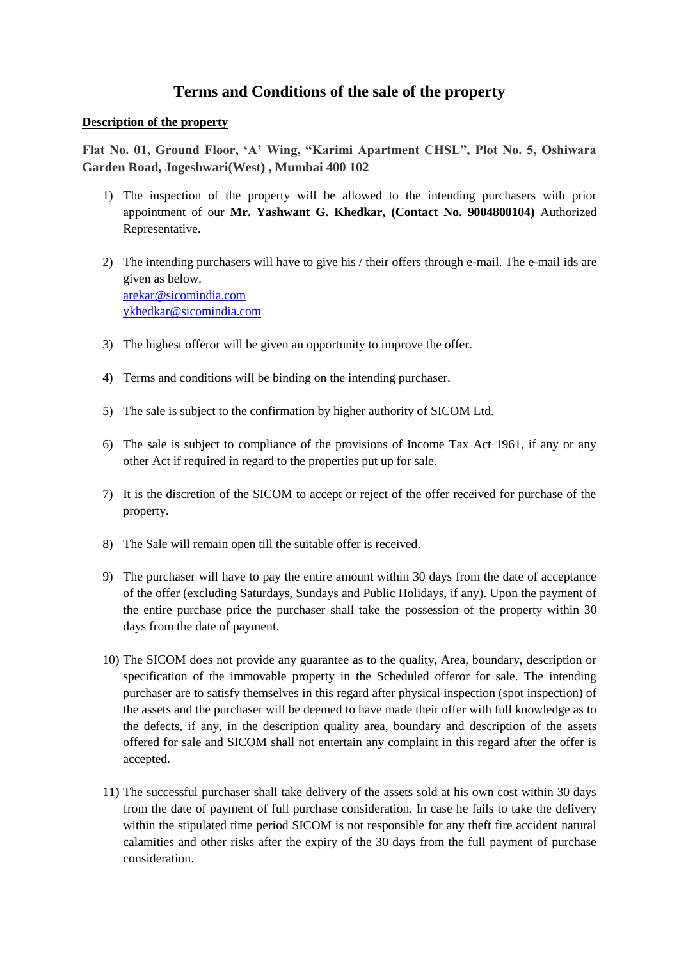## **Terms and Conditions of the sale of the property**

## **Description of the property**

**Flat No. 01, Ground Floor, 'A' Wing, "Karimi Apartment CHSL", Plot No. 5, Oshiwara Garden Road, Jogeshwari(West) , Mumbai 400 102**

- 1) The inspection of the property will be allowed to the intending purchasers with prior appointment of our **Mr. Yashwant G. Khedkar, (Contact No. 9004800104)** Authorized Representative.
- 2) The intending purchasers will have to give his / their offers through e-mail. The e-mail ids are given as below. [arekar@sicomindia.com](mailto:arekar@sicomindia.com) [ykhedkar@sicomindia.com](mailto:ykhedkar@sicomindia.com)
- 3) The highest offeror will be given an opportunity to improve the offer.
- 4) Terms and conditions will be binding on the intending purchaser.
- 5) The sale is subject to the confirmation by higher authority of SICOM Ltd.
- 6) The sale is subject to compliance of the provisions of Income Tax Act 1961, if any or any other Act if required in regard to the properties put up for sale.
- 7) It is the discretion of the SICOM to accept or reject of the offer received for purchase of the property.
- 8) The Sale will remain open till the suitable offer is received.
- 9) The purchaser will have to pay the entire amount within 30 days from the date of acceptance of the offer (excluding Saturdays, Sundays and Public Holidays, if any). Upon the payment of the entire purchase price the purchaser shall take the possession of the property within 30 days from the date of payment.
- 10) The SICOM does not provide any guarantee as to the quality, Area, boundary, description or specification of the immovable property in the Scheduled offeror for sale. The intending purchaser are to satisfy themselves in this regard after physical inspection (spot inspection) of the assets and the purchaser will be deemed to have made their offer with full knowledge as to the defects, if any, in the description quality area, boundary and description of the assets offered for sale and SICOM shall not entertain any complaint in this regard after the offer is accepted.
- 11) The successful purchaser shall take delivery of the assets sold at his own cost within 30 days from the date of payment of full purchase consideration. In case he fails to take the delivery within the stipulated time period SICOM is not responsible for any theft fire accident natural calamities and other risks after the expiry of the 30 days from the full payment of purchase consideration.